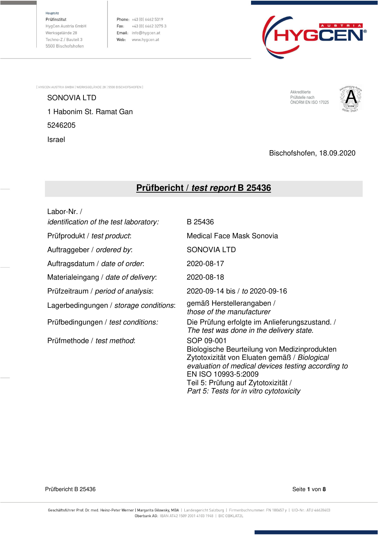Hauptsitz

Prüfinstitut HygCen Austria GmbH Werksgelände 28 Techno-Z / Bauteil 3 5500 Bischofshofen

Phone: +43 (0) 6462 5319 Fax:  $+43$  (0) 6462 3275 3 Email: info@hygcen.at Web: www.hygcen.at



[ HYGCEN AUSTRIA GMBH | WERKSGELÄNDE 28 | 5500 BISCHOFSHOFEN ]

SONOVIA LTD 1 Habonim St. Ramat Gan 5246205 Israel

Akkreditierte Prüfstelle nach<br>ÖNORM EN ISO 17025



### Bischofshofen, 18.09.2020

# **Prüfbericht / test report B 25436**

| Labor-Nr. /                                   |                                                                                                                                                                                                                                                                           |
|-----------------------------------------------|---------------------------------------------------------------------------------------------------------------------------------------------------------------------------------------------------------------------------------------------------------------------------|
| <i>identification of the test laboratory:</i> | B 25436                                                                                                                                                                                                                                                                   |
| Prüfprodukt / test product:                   | Medical Face Mask Sonovia                                                                                                                                                                                                                                                 |
| Auftraggeber / ordered by:                    | <b>SONOVIA LTD</b>                                                                                                                                                                                                                                                        |
| Auftragsdatum / date of order.                | 2020-08-17                                                                                                                                                                                                                                                                |
| Materialeingang / date of delivery:           | 2020-08-18                                                                                                                                                                                                                                                                |
| Prüfzeitraum / period of analysis:            | 2020-09-14 bis / to 2020-09-16                                                                                                                                                                                                                                            |
| Lagerbedingungen / storage conditions:        | gemäß Herstellerangaben /<br>those of the manufacturer                                                                                                                                                                                                                    |
| Prüfbedingungen / test conditions:            | Die Prüfung erfolgte im Anlieferungszustand. /<br>The test was done in the delivery state.                                                                                                                                                                                |
| Prüfmethode / test method:                    | SOP 09-001<br>Biologische Beurteilung von Medizinprodukten<br>Zytotoxizität von Eluaten gemäß / Biological<br>evaluation of medical devices testing according to<br>EN ISO 10993-5:2009<br>Teil 5: Prüfung auf Zytotoxizität /<br>Part 5: Tests for in vitro cytotoxicity |

Prüfbericht B 25436 Seite **1** von **8**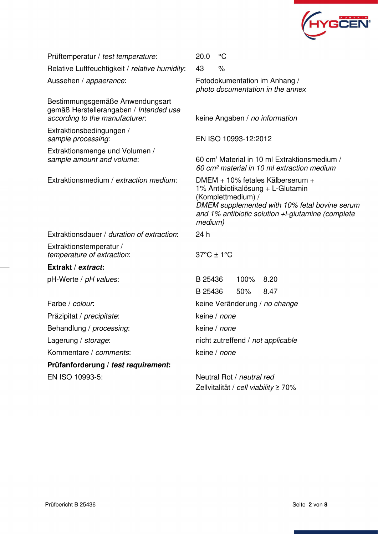

| Prüftemperatur / test temperature:                                                                          | $^{\circ}C$<br>20.0                                                                                                                                                                                          |  |  |  |  |
|-------------------------------------------------------------------------------------------------------------|--------------------------------------------------------------------------------------------------------------------------------------------------------------------------------------------------------------|--|--|--|--|
| Relative Luftfeuchtigkeit / relative humidity:                                                              | 43<br>$\frac{0}{0}$                                                                                                                                                                                          |  |  |  |  |
| Aussehen / appaerance:                                                                                      | Fotodokumentation im Anhang /<br>photo documentation in the annex                                                                                                                                            |  |  |  |  |
| Bestimmungsgemäße Anwendungsart<br>gemäß Herstellerangaben / Intended use<br>according to the manufacturer. | keine Angaben / no information                                                                                                                                                                               |  |  |  |  |
| Extraktionsbedingungen /<br>sample processing:                                                              | EN ISO 10993-12:2012                                                                                                                                                                                         |  |  |  |  |
| Extraktionsmenge und Volumen /<br>sample amount and volume:                                                 | 60 cm <sup>2</sup> Material in 10 ml Extraktionsmedium /<br>60 cm <sup>2</sup> material in 10 ml extraction medium                                                                                           |  |  |  |  |
| Extraktionsmedium / extraction medium:                                                                      | DMEM + 10% fetales Kälberserum +<br>1% Antibiotikalösung + L-Glutamin<br>(Komplettmedium) /<br>DMEM supplemented with 10% fetal bovine serum<br>and 1% antibiotic solution +l-glutamine (complete<br>medium) |  |  |  |  |
| Extraktionsdauer / duration of extraction:                                                                  | 24 h                                                                                                                                                                                                         |  |  |  |  |
| Extraktionstemperatur /<br>temperature of extraction:                                                       | $37^{\circ}$ C ± 1 $^{\circ}$ C                                                                                                                                                                              |  |  |  |  |
| Extrakt / extract:                                                                                          |                                                                                                                                                                                                              |  |  |  |  |
| pH-Werte / pH values:                                                                                       | B 25436<br>100%<br>8.20                                                                                                                                                                                      |  |  |  |  |
|                                                                                                             | B 25436<br>50%<br>8.47                                                                                                                                                                                       |  |  |  |  |
| Farbe / colour.                                                                                             | keine Veränderung / no change                                                                                                                                                                                |  |  |  |  |
| Präzipitat / precipitate:                                                                                   | keine / none                                                                                                                                                                                                 |  |  |  |  |
| Behandlung / processing:                                                                                    | keine / none                                                                                                                                                                                                 |  |  |  |  |
| Lagerung / storage:                                                                                         | nicht zutreffend / not applicable                                                                                                                                                                            |  |  |  |  |
| Kommentare / comments:                                                                                      | keine / none                                                                                                                                                                                                 |  |  |  |  |
| Prüfanforderung / test requirement:                                                                         |                                                                                                                                                                                                              |  |  |  |  |
| EN ISO 10993-5:                                                                                             | Neutral Rot / neutral red                                                                                                                                                                                    |  |  |  |  |

Zellvitalität / cell viability ≥ 70%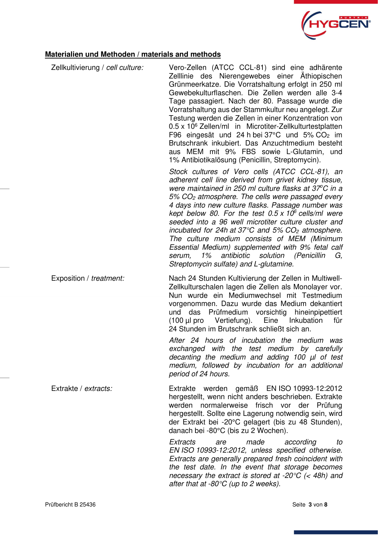

## **Materialien und Methoden / materials and methods**

| Zellkultivierung / cell culture: | Vero-Zellen (ATCC CCL-81) sind eine adhärente<br>Zelllinie des Nierengewebes einer Äthiopischen<br>Grünmeerkatze. Die Vorratshaltung erfolgt in 250 ml<br>Gewebekulturflaschen. Die Zellen werden alle 3-4<br>Tage passagiert. Nach der 80. Passage wurde die<br>Vorratshaltung aus der Stammkultur neu angelegt. Zur<br>Testung werden die Zellen in einer Konzentration von<br>0.5 x 10 <sup>6</sup> Zellen/ml in Microtiter-Zellkulturtestplatten<br>F96 eingesät und 24 h bei 37°C und 5% CO <sub>2</sub> im<br>Brutschrank inkubiert. Das Anzuchtmedium besteht<br>aus MEM mit 9% FBS sowie L-Glutamin, und                                                                                                                                         |
|----------------------------------|----------------------------------------------------------------------------------------------------------------------------------------------------------------------------------------------------------------------------------------------------------------------------------------------------------------------------------------------------------------------------------------------------------------------------------------------------------------------------------------------------------------------------------------------------------------------------------------------------------------------------------------------------------------------------------------------------------------------------------------------------------|
|                                  | 1% Antibiotikalösung (Penicillin, Streptomycin).<br>Stock cultures of Vero cells (ATCC CCL-81), an<br>adherent cell line derived from grivet kidney tissue,<br>were maintained in 250 ml culture flasks at 37°C in a<br>$5\%$ CO <sub>2</sub> atmosphere. The cells were passaged every<br>4 days into new culture flasks. Passage number was<br>kept below 80. For the test $0.5 \times 10^6$ cells/ml were<br>seeded into a 96 well microtiter culture cluster and<br>incubated for 24h at 37 $\degree$ C and 5% CO <sub>2</sub> atmosphere.<br>The culture medium consists of MEM (Minimum<br>Essential Medium) supplemented with 9% fetal calf<br>solution (Penicillin<br>1%<br>antibiotic<br>G.<br>serum,<br>Streptomycin sulfate) and L-glutamine. |
| Exposition / treatment:          | Nach 24 Stunden Kultivierung der Zellen in Multiwell-<br>Zellkulturschalen lagen die Zellen als Monolayer vor.<br>Nun wurde ein Mediumwechsel mit Testmedium<br>vorgenommen. Dazu wurde das Medium dekantiert<br>das Prüfmedium vorsichtig hineinpipettiert<br>und<br>(100 µl pro Vertiefung).<br>Eine<br>Inkubation<br>für<br>24 Stunden im Brutschrank schließt sich an.                                                                                                                                                                                                                                                                                                                                                                               |
|                                  | After 24 hours of incubation the medium was<br>exchanged with the test medium by carefully<br>decanting the medium and adding 100 µl of test<br>medium, followed by incubation for an additional<br>period of 24 hours.                                                                                                                                                                                                                                                                                                                                                                                                                                                                                                                                  |
| Extrakte / extracts:             | Extrakte werden gemäß EN ISO 10993-12:2012<br>hergestellt, wenn nicht anders beschrieben. Extrakte<br>werden normalerweise frisch vor der Prüfung<br>hergestellt. Sollte eine Lagerung notwendig sein, wird<br>der Extrakt bei -20°C gelagert (bis zu 48 Stunden),<br>danach bei -80°C (bis zu 2 Wochen).                                                                                                                                                                                                                                                                                                                                                                                                                                                |
|                                  | Extracts<br>made<br>according<br>are<br>to<br>EN ISO 10993-12:2012, unless specified otherwise.<br>Extracts are generally prepared fresh coincident with<br>the test date. In the event that storage becomes<br>necessary the extract is stored at -20 $\degree$ C (< 48h) and<br>after that at $-80^{\circ}C$ (up to 2 weeks).                                                                                                                                                                                                                                                                                                                                                                                                                          |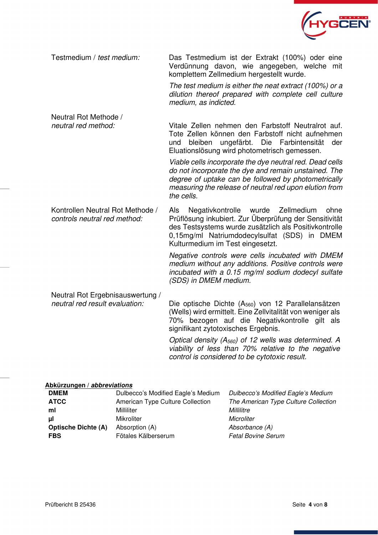

Testmedium / test medium: Das Testmedium ist der Extrakt (100%) oder eine Verdünnung davon, wie angegeben, welche mit komplettem Zellmedium hergestellt wurde.

The test medium is either the neat extract (100%) or a dilution thereof prepared with complete cell culture medium, as indicted.

Neutral Rot Methode / neutral red method: Vitale Zellen nehmen den Farbstoff Neutralrot auf. Tote Zellen können den Farbstoff nicht aufnehmen und bleiben ungefärbt. Die Farbintensität der Eluationslösung wird photometrisch gemessen.

Viable cells incorporate the dye neutral red. Dead cells do not incorporate the dye and remain unstained. The degree of uptake can be followed by photometrically measuring the release of neutral red upon elution from the cells.

Kontrollen Neutral Rot Methode / controls neutral red method: Als Negativkontrolle wurde Zellmedium ohne Prüflösung inkubiert. Zur Überprüfung der Sensitivität des Testsystems wurde zusätzlich als Positivkontrolle 0,15mg/ml Natriumdodecylsulfat (SDS) in DMEM Kulturmedium im Test eingesetzt.

Negative controls were cells incubated with DMEM medium without any additions. Positive controls were incubated with a 0.15 mg/ml sodium dodecyl sulfate (SDS) in DMEM medium.

Neutral Rot Ergebnisauswertung /

neutral red result evaluation: Die optische Dichte (A560) von 12 Parallelansätzen (Wells) wird ermittelt. Eine Zellvitalität von weniger als 70% bezogen auf die Negativkontrolle gilt als signifikant zytotoxisches Ergebnis.

> Optical density (A560) of 12 wells was determined. A viability of less than 70% relative to the negative control is considered to be cytotoxic result.

#### **Abkürzungen / abbreviations**

| <b>DMEM</b>                | Dulbecco's Modified Eagle's Medium | Dulbecco's Modified Eagle's Medium   |
|----------------------------|------------------------------------|--------------------------------------|
| <b>ATCC</b>                | American Type Culture Collection   | The American Type Culture Collection |
| ml                         | Milliliter                         | <i>Millilitre</i>                    |
| μI                         | Mikroliter                         | Microliter                           |
| <b>Optische Dichte (A)</b> | Absorption (A)                     | Absorbance (A)                       |
| <b>FBS</b>                 | Fötales Kälberserum                | <b>Fetal Bovine Serum</b>            |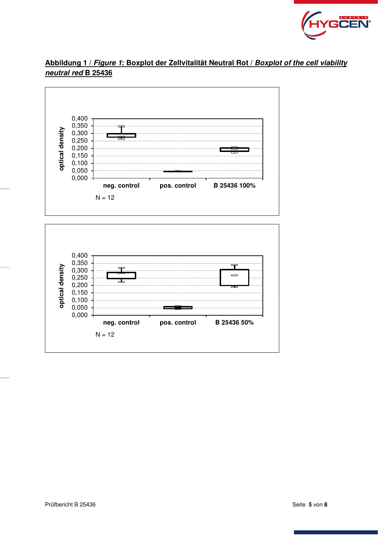

# **Abbildung 1 / Figure 1: Boxplot der Zellvitalität Neutral Rot / Boxplot of the cell viability neutral red B 25436**



**neg. control pos. control B 25436 50%**

 $\qquad \qquad \blacksquare$ 

 $0,000 -$ 0,050 0,100 0,150 0,200 0,250

 $N = 12$ 

Д.,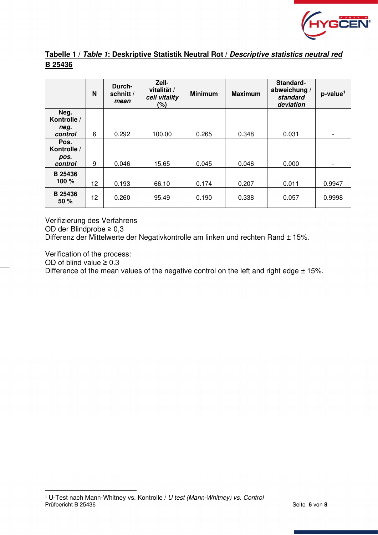

### **Tabelle 1 / Table 1: Deskriptive Statistik Neutral Rot / Descriptive statistics neutral red B 25436**

|                         | N  | Durch-<br>schnitt /<br>mean | Zell-<br>vitalität /<br>cell vitality<br>$(\%)$ | <b>Minimum</b> | <b>Maximum</b> | Standard-<br>abweichung /<br>standard<br>deviation | $p$ -value <sup>1</sup>  |
|-------------------------|----|-----------------------------|-------------------------------------------------|----------------|----------------|----------------------------------------------------|--------------------------|
| Neg.<br>Kontrolle /     |    |                             |                                                 |                |                |                                                    |                          |
| neg.<br>control         | 6  | 0.292                       | 100.00                                          | 0.265          | 0.348          | 0.031                                              | $\overline{\phantom{0}}$ |
| Pos.<br>Kontrolle /     |    |                             |                                                 |                |                |                                                    |                          |
| pos.<br>control         | 9  | 0.046                       | 15.65                                           | 0.045          | 0.046          | 0.000                                              | $\overline{\phantom{a}}$ |
| <b>B</b> 25436<br>100 % | 12 | 0.193                       | 66.10                                           | 0.174          | 0.207          | 0.011                                              | 0.9947                   |
| <b>B</b> 25436<br>50%   | 12 | 0.260                       | 95.49                                           | 0.190          | 0.338          | 0.057                                              | 0.9998                   |

Verifizierung des Verfahrens OD der Blindprobe ≥ 0,3 Differenz der Mittelwerte der Negativkontrolle am linken und rechten Rand ± 15%.

Verification of the process:

OD of blind value  $\geq 0.3$ 

Difference of the mean values of the negative control on the left and right edge  $\pm$  15%.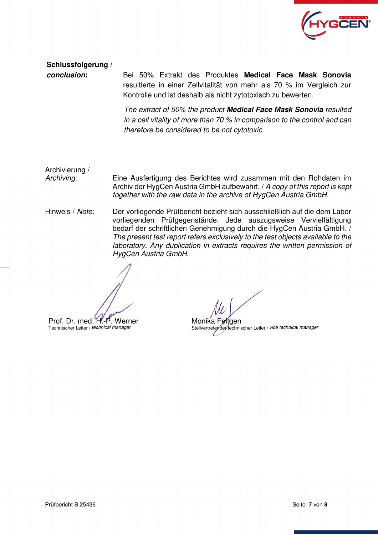

**Schlussfolgerung /** 

**conclusion:** Bei 50% Extrakt des Produktes **Medical Face Mask Sonovia**  resultierte in einer Zellvitalität von mehr als 70 % im Vergleich zur Kontrolle und ist deshalb als nicht zytotoxisch zu bewerten.

> The extract of 50% the product **Medical Face Mask Sonovia** resulted in a cell vitality of more than 70 % in comparison to the control and can therefore be considered to be not cytotoxic.

Archivierung /

Archiving: Eine Ausfertigung des Berichtes wird zusammen mit den Rohdaten im Archiv der HygCen Austria GmbH aufbewahrt. / A copy of this report is kept together with the raw data in the archive of HygCen Austria GmbH.

Hinweis / Note: Der vorliegende Prüfbericht bezieht sich ausschließlich auf die dem Labor vorliegenden Prüfgegenstände. Jede auszugsweise Vervielfältigung bedarf der schriftlichen Genehmigung durch die HygCen Austria GmbH. / The present test report refers exclusively to the test objects available to the laboratory. Any duplication in extracts requires the written permission of HygCen Austria GmbH.

Prof. Dr. med. H.-P. Werner Technischer Leiter / technical manager

Monika Feltgen Stellvertretender technischer Leiter / vice technical manager